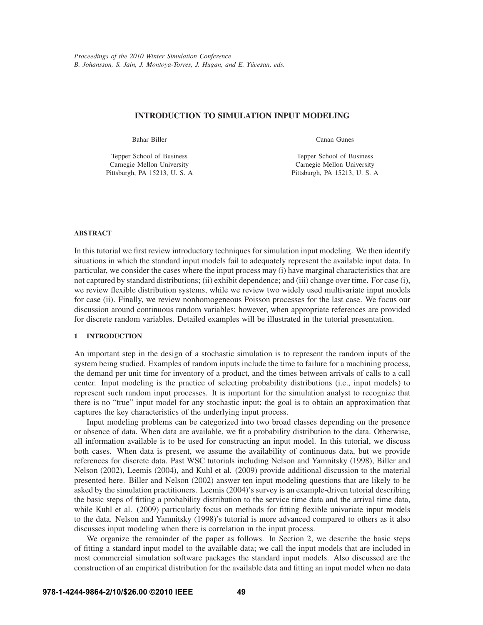# **INTRODUCTION TO SIMULATION INPUT MODELING**

Bahar Biller

Canan Gunes

Tepper School of Business Carnegie Mellon University Pittsburgh, PA 15213, U. S. A

Tepper School of Business Carnegie Mellon University Pittsburgh, PA 15213, U. S. A

# **ABSTRACT**

In this tutorial we first review introductory techniques for simulation input modeling. We then identify situations in which the standard input models fail to adequately represent the available input data. In particular, we consider the cases where the input process may (i) have marginal characteristics that are not captured by standard distributions; (ii) exhibit dependence; and (iii) change over time. For case (i), we review flexible distribution systems, while we review two widely used multivariate input models for case (ii). Finally, we review nonhomogeneous Poisson processes for the last case. We focus our discussion around continuous random variables; however, when appropriate references are provided for discrete random variables. Detailed examples will be illustrated in the tutorial presentation.

### **1 INTRODUCTION**

An important step in the design of a stochastic simulation is to represent the random inputs of the system being studied. Examples of random inputs include the time to failure for a machining process, the demand per unit time for inventory of a product, and the times between arrivals of calls to a call center. Input modeling is the practice of selecting probability distributions (i.e., input models) to represent such random input processes. It is important for the simulation analyst to recognize that there is no "true" input model for any stochastic input; the goal is to obtain an approximation that captures the key characteristics of the underlying input process.

Input modeling problems can be categorized into two broad classes depending on the presence or absence of data. When data are available, we fit a probability distribution to the data. Otherwise, all information available is to be used for constructing an input model. In this tutorial, we discuss both cases. When data is present, we assume the availability of continuous data, but we provide references for discrete data. Past WSC tutorials including Nelson and Yamnitsky (1998), Biller and Nelson (2002), Leemis (2004), and Kuhl et al. (2009) provide additional discussion to the material presented here. Biller and Nelson (2002) answer ten input modeling questions that are likely to be asked by the simulation practitioners. Leemis (2004)'s survey is an example-driven tutorial describing the basic steps of fitting a probability distribution to the service time data and the arrival time data, while Kuhl et al. (2009) particularly focus on methods for fitting flexible univariate input models to the data. Nelson and Yamnitsky (1998)'s tutorial is more advanced compared to others as it also discusses input modeling when there is correlation in the input process.

We organize the remainder of the paper as follows. In Section 2, we describe the basic steps of fitting a standard input model to the available data; we call the input models that are included in most commercial simulation software packages the standard input models. Also discussed are the construction of an empirical distribution for the available data and fitting an input model when no data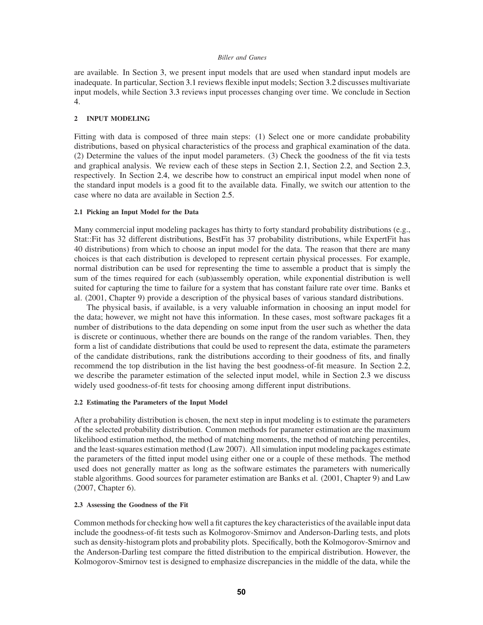are available. In Section 3, we present input models that are used when standard input models are inadequate. In particular, Section 3.1 reviews flexible input models; Section 3.2 discusses multivariate input models, while Section 3.3 reviews input processes changing over time. We conclude in Section 4.

## **2 INPUT MODELING**

Fitting with data is composed of three main steps: (1) Select one or more candidate probability distributions, based on physical characteristics of the process and graphical examination of the data. (2) Determine the values of the input model parameters. (3) Check the goodness of the fit via tests and graphical analysis. We review each of these steps in Section 2.1, Section 2.2, and Section 2.3, respectively. In Section 2.4, we describe how to construct an empirical input model when none of the standard input models is a good fit to the available data. Finally, we switch our attention to the case where no data are available in Section 2.5.

## **2.1 Picking an Input Model for the Data**

Many commercial input modeling packages has thirty to forty standard probability distributions (e.g., Stat::Fit has 32 different distributions, BestFit has 37 probability distributions, while ExpertFit has 40 distributions) from which to choose an input model for the data. The reason that there are many choices is that each distribution is developed to represent certain physical processes. For example, normal distribution can be used for representing the time to assemble a product that is simply the sum of the times required for each (sub)assembly operation, while exponential distribution is well suited for capturing the time to failure for a system that has constant failure rate over time. Banks et al. (2001, Chapter 9) provide a description of the physical bases of various standard distributions.

The physical basis, if available, is a very valuable information in choosing an input model for the data; however, we might not have this information. In these cases, most software packages fit a number of distributions to the data depending on some input from the user such as whether the data is discrete or continuous, whether there are bounds on the range of the random variables. Then, they form a list of candidate distributions that could be used to represent the data, estimate the parameters of the candidate distributions, rank the distributions according to their goodness of fits, and finally recommend the top distribution in the list having the best goodness-of-fit measure. In Section 2.2, we describe the parameter estimation of the selected input model, while in Section 2.3 we discuss widely used goodness-of-fit tests for choosing among different input distributions.

# **2.2 Estimating the Parameters of the Input Model**

After a probability distribution is chosen, the next step in input modeling is to estimate the parameters of the selected probability distribution. Common methods for parameter estimation are the maximum likelihood estimation method, the method of matching moments, the method of matching percentiles, and the least-squares estimation method (Law 2007). All simulation input modeling packages estimate the parameters of the fitted input model using either one or a couple of these methods. The method used does not generally matter as long as the software estimates the parameters with numerically stable algorithms. Good sources for parameter estimation are Banks et al. (2001, Chapter 9) and Law (2007, Chapter 6).

# **2.3 Assessing the Goodness of the Fit**

Common methods for checking how well a fit captures the key characteristics of the available input data include the goodness-of-fit tests such as Kolmogorov-Smirnov and Anderson-Darling tests, and plots such as density-histogram plots and probability plots. Specifically, both the Kolmogorov-Smirnov and the Anderson-Darling test compare the fitted distribution to the empirical distribution. However, the Kolmogorov-Smirnov test is designed to emphasize discrepancies in the middle of the data, while the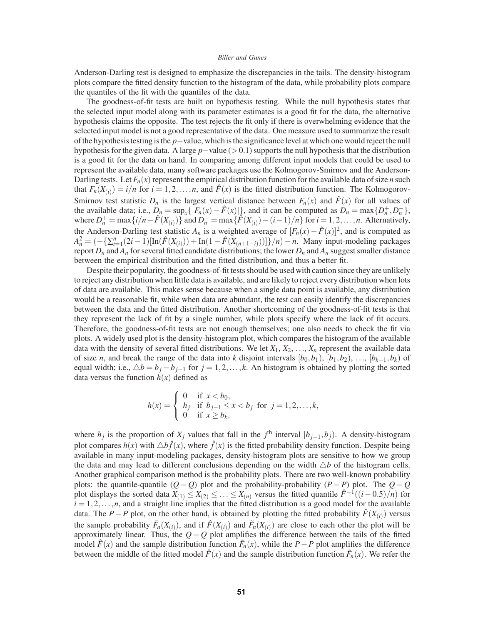Anderson-Darling test is designed to emphasize the discrepancies in the tails. The density-histogram plots compare the fitted density function to the histogram of the data, while probability plots compare the quantiles of the fit with the quantiles of the data.

The goodness-of-fit tests are built on hypothesis testing. While the null hypothesis states that the selected input model along with its parameter estimates is a good fit for the data, the alternative hypothesis claims the opposite. The test rejects the fit only if there is overwhelming evidence that the selected input model is not a good representative of the data. One measure used to summarize the result of the hypothesis testing is the *p*−value, which is the significance level at which one would reject the null hypothesis for the given data. A large *p*−value (> 0.1) supports the null hypothesis that the distribution is a good fit for the data on hand. In comparing among different input models that could be used to represent the available data, many software packages use the Kolmogorov-Smirnov and the Anderson-Darling tests. Let  $F_n(x)$  represent the empirical distribution function for the available data of size *n* such that  $F_n(X_{(i)}) = i/n$  for  $i = 1, 2, ..., n$ , and  $\hat{F}(x)$  is the fitted distribution function. The Kolmogorov-Smirnov test statistic  $D_n$  is the largest vertical distance between  $F_n(x)$  and  $\hat{F}(x)$  for all values of the available data; i.e.,  $D_n = \sup_x \{ |F_n(x) - \hat{F}(x)| \}$ , and it can be computed as  $D_n = \max \{ D_n^+, D_n^-\}$ , where  $D_n^+ = \max\{i/n - \hat{F}(X_{(i)})\}$  and  $D_n^- = \max\{\hat{F}(X_{(i)}) - (i-1)/n\}$  for  $i = 1, 2, ..., n$ . Alternatively, the Anderson-Darling test statistic  $A_n$  is a weighted average of  $[F_n(x) - \hat{F}(x)]^2$ , and is computed as  $A_n^2 = \left(-\left\{\sum_{i=1}^n (2i-1)\left[\text{In}(\hat{F}(X_{(i)})) + \text{In}(1-\hat{F}(X_{(n+1-i)}))\right]\right\}/n\right) - n$ . Many input-modeling packages report  $D_n$  and  $A_n$  for several fitted candidate distributions; the lower  $D_n$  and  $A_n$  suggest smaller distance between the empirical distribution and the fitted distribution, and thus a better fit.

Despite their popularity, the goodness-of-fit tests should be used with caution since they are unlikely to reject any distribution when little data is available, and are likely to reject every distribution when lots of data are available. This makes sense because when a single data point is available, any distribution would be a reasonable fit, while when data are abundant, the test can easily identify the discrepancies between the data and the fitted distribution. Another shortcoming of the goodness-of-fit tests is that they represent the lack of fit by a single number, while plots specify where the lack of fit occurs. Therefore, the goodness-of-fit tests are not enough themselves; one also needs to check the fit via plots. A widely used plot is the density-histogram plot, which compares the histogram of the available data with the density of several fitted distributions. We let  $X_1, X_2, \ldots, X_n$  represent the available data of size *n*, and break the range of the data into *k* disjoint intervals  $[b_0, b_1)$ ,  $[b_1, b_2)$ , ...,  $[b_{k-1}, b_k)$  of equal width; i.e.,  $\triangle b = b_j - b_{j-1}$  for  $j = 1, 2, ..., k$ . An histogram is obtained by plotting the sorted data versus the function  $h(x)$  defined as

$$
h(x) = \begin{cases} 0 & \text{if } x < b_0, \\ h_j & \text{if } b_{j-1} \le x < b_j \text{ for } j = 1, 2, ..., k, \\ 0 & \text{if } x \ge b_k, \end{cases}
$$

where  $h_j$  is the proportion of  $X_j$  values that fall in the  $j^{\text{th}}$  interval  $[b_{j-1}, b_j)$ . A density-histogram plot compares  $h(x)$  with  $\triangle b\hat{f}(x)$ , where  $\hat{f}(x)$  is the fitted probability density function. Despite being available in many input-modeling packages, density-histogram plots are sensitive to how we group the data and may lead to different conclusions depending on the width  $\triangle b$  of the histogram cells. Another graphical comparison method is the probability plots. There are two well-known probability plots: the quantile-quantile  $(Q - Q)$  plot and the probability-probability  $(P - P)$  plot. The  $Q - Q$ plot displays the sorted data  $X_{(1)} \leq X_{(2)} \leq \ldots \leq X_{(n)}$  versus the fitted quantile  $\hat{F}^{-1}((i-0.5)/n)$  for  $i = 1, 2, \ldots, n$ , and a straight line implies that the fitted distribution is a good model for the available data. The *P*−*P* plot, on the other hand, is obtained by plotting the fitted probability  $\hat{F}(X_{(i)})$  versus the sample probability  $\tilde{F}_n(X_{(i)})$ , and if  $\hat{F}(X_{(i)})$  and  $\tilde{F}_n(X_{(i)})$  are close to each other the plot will be approximately linear. Thus, the  $Q - Q$  plot amplifies the difference between the tails of the fitted model  $\hat{F}(x)$  and the sample distribution function  $\tilde{F}_n(x)$ , while the *P*−*P* plot amplifies the difference between the middle of the fitted model  $\hat{F}(x)$  and the sample distribution function  $\tilde{F}_n(x)$ . We refer the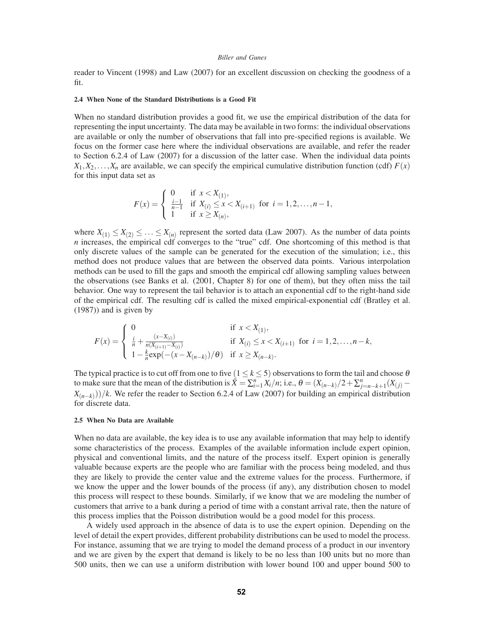reader to Vincent (1998) and Law (2007) for an excellent discussion on checking the goodness of a fit.

### **2.4 When None of the Standard Distributions is a Good Fit**

When no standard distribution provides a good fit, we use the empirical distribution of the data for representing the input uncertainty. The data may be available in two forms: the individual observations are available or only the number of observations that fall into pre-specified regions is available. We focus on the former case here where the individual observations are available, and refer the reader to Section 6.2.4 of Law (2007) for a discussion of the latter case. When the individual data points  $X_1, X_2, \ldots, X_n$  are available, we can specify the empirical cumulative distribution function (cdf)  $F(x)$ for this input data set as

$$
F(x) = \begin{cases} 0 & \text{if } x < X_{(1)}, \\ \frac{i-1}{n-1} & \text{if } X_{(i)} \le x < X_{(i+1)} \text{ for } i = 1, 2, \dots, n-1, \\ 1 & \text{if } x \ge X_{(n)}, \end{cases}
$$

where  $X_{(1)} \leq X_{(2)} \leq \ldots \leq X_{(n)}$  represent the sorted data (Law 2007). As the number of data points *n* increases, the empirical cdf converges to the "true" cdf. One shortcoming of this method is that only discrete values of the sample can be generated for the execution of the simulation; i.e., this method does not produce values that are between the observed data points. Various interpolation methods can be used to fill the gaps and smooth the empirical cdf allowing sampling values between the observations (see Banks et al. (2001, Chapter 8) for one of them), but they often miss the tail behavior. One way to represent the tail behavior is to attach an exponential cdf to the right-hand side of the empirical cdf. The resulting cdf is called the mixed empirical-exponential cdf (Bratley et al. (1987)) and is given by

$$
F(x) = \begin{cases} 0 & \text{if } x < X_{(1)}, \\ \frac{i}{n} + \frac{(x - X_{(i)})}{n(X_{(i+1)} - X_{(i)})} & \text{if } X_{(i)} \le x < X_{(i+1)} \text{ for } i = 1, 2, \dots, n-k, \\ 1 - \frac{k}{n} \exp(-(x - X_{(n-k)})/\theta) & \text{if } x \ge X_{(n-k)}. \end{cases}
$$

The typical practice is to cut off from one to five  $(1 \le k \le 5)$  observations to form the tail and choose  $\theta$ to make sure that the mean of the distribution is  $\overline{X} = \sum_{i=1}^{n} X_i/n$ ; i.e.,  $\theta = (X_{(n-k)}/2 + \sum_{j=n-k+1}^{n} (X_{(j)} (X_{(n-k)})/k$ . We refer the reader to Section 6.2.4 of Law (2007) for building an empirical distribution for discrete data.

### **2.5 When No Data are Available**

When no data are available, the key idea is to use any available information that may help to identify some characteristics of the process. Examples of the available information include expert opinion, physical and conventional limits, and the nature of the process itself. Expert opinion is generally valuable because experts are the people who are familiar with the process being modeled, and thus they are likely to provide the center value and the extreme values for the process. Furthermore, if we know the upper and the lower bounds of the process (if any), any distribution chosen to model this process will respect to these bounds. Similarly, if we know that we are modeling the number of customers that arrive to a bank during a period of time with a constant arrival rate, then the nature of this process implies that the Poisson distribution would be a good model for this process.

A widely used approach in the absence of data is to use the expert opinion. Depending on the level of detail the expert provides, different probability distributions can be used to model the process. For instance, assuming that we are trying to model the demand process of a product in our inventory and we are given by the expert that demand is likely to be no less than 100 units but no more than 500 units, then we can use a uniform distribution with lower bound 100 and upper bound 500 to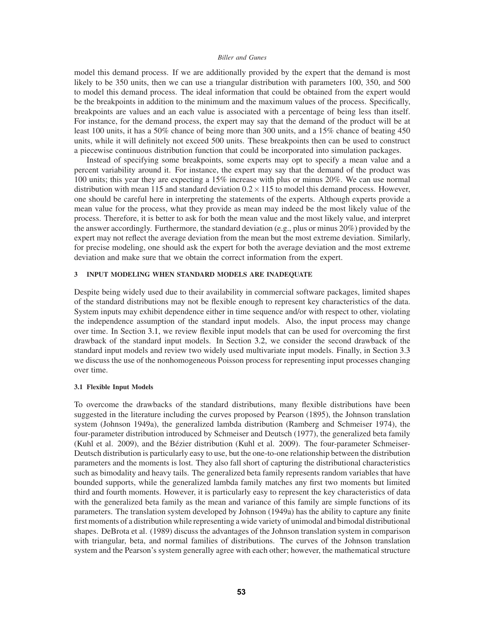model this demand process. If we are additionally provided by the expert that the demand is most likely to be 350 units, then we can use a triangular distribution with parameters 100, 350, and 500 to model this demand process. The ideal information that could be obtained from the expert would be the breakpoints in addition to the minimum and the maximum values of the process. Specifically, breakpoints are values and an each value is associated with a percentage of being less than itself. For instance, for the demand process, the expert may say that the demand of the product will be at least 100 units, it has a 50% chance of being more than 300 units, and a 15% chance of beating 450 units, while it will definitely not exceed 500 units. These breakpoints then can be used to construct a piecewise continuous distribution function that could be incorporated into simulation packages.

Instead of specifying some breakpoints, some experts may opt to specify a mean value and a percent variability around it. For instance, the expert may say that the demand of the product was 100 units; this year they are expecting a 15% increase with plus or minus 20%. We can use normal distribution with mean 115 and standard deviation  $0.2 \times 115$  to model this demand process. However, one should be careful here in interpreting the statements of the experts. Although experts provide a mean value for the process, what they provide as mean may indeed be the most likely value of the process. Therefore, it is better to ask for both the mean value and the most likely value, and interpret the answer accordingly. Furthermore, the standard deviation (e.g., plus or minus 20%) provided by the expert may not reflect the average deviation from the mean but the most extreme deviation. Similarly, for precise modeling, one should ask the expert for both the average deviation and the most extreme deviation and make sure that we obtain the correct information from the expert.

# **3 INPUT MODELING WHEN STANDARD MODELS ARE INADEQUATE**

Despite being widely used due to their availability in commercial software packages, limited shapes of the standard distributions may not be flexible enough to represent key characteristics of the data. System inputs may exhibit dependence either in time sequence and/or with respect to other, violating the independence assumption of the standard input models. Also, the input process may change over time. In Section 3.1, we review flexible input models that can be used for overcoming the first drawback of the standard input models. In Section 3.2, we consider the second drawback of the standard input models and review two widely used multivariate input models. Finally, in Section 3.3 we discuss the use of the nonhomogeneous Poisson process for representing input processes changing over time.

### **3.1 Flexible Input Models**

To overcome the drawbacks of the standard distributions, many flexible distributions have been suggested in the literature including the curves proposed by Pearson (1895), the Johnson translation system (Johnson 1949a), the generalized lambda distribution (Ramberg and Schmeiser 1974), the four-parameter distribution introduced by Schmeiser and Deutsch (1977), the generalized beta family (Kuhl et al. 2009), and the Bezier distribution (Kuhl et al. 2009). The four-parameter Schmeiser- ´ Deutsch distribution is particularly easy to use, but the one-to-one relationship between the distribution parameters and the moments is lost. They also fall short of capturing the distributional characteristics such as bimodality and heavy tails. The generalized beta family represents random variables that have bounded supports, while the generalized lambda family matches any first two moments but limited third and fourth moments. However, it is particularly easy to represent the key characteristics of data with the generalized beta family as the mean and variance of this family are simple functions of its parameters. The translation system developed by Johnson (1949a) has the ability to capture any finite first moments of a distribution while representing a wide variety of unimodal and bimodal distributional shapes. DeBrota et al. (1989) discuss the advantages of the Johnson translation system in comparison with triangular, beta, and normal families of distributions. The curves of the Johnson translation system and the Pearson's system generally agree with each other; however, the mathematical structure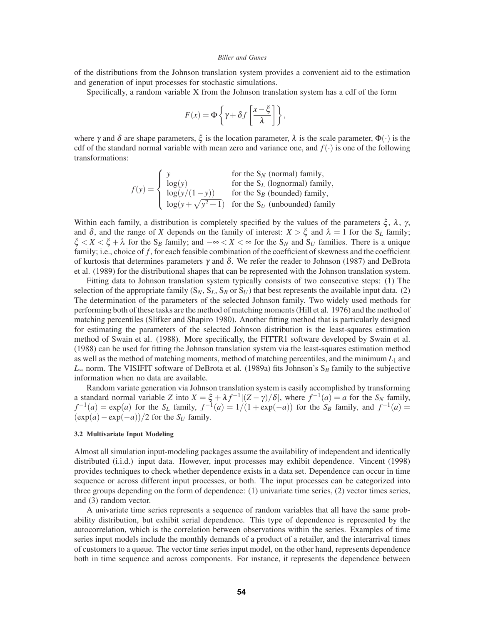of the distributions from the Johnson translation system provides a convenient aid to the estimation and generation of input processes for stochastic simulations.

Specifically, a random variable X from the Johnson translation system has a cdf of the form

$$
F(x) = \Phi\left\{\gamma + \delta f\left[\frac{x - \xi}{\lambda}\right]\right\},\
$$

where  $\gamma$  and  $\delta$  are shape parameters,  $\xi$  is the location parameter,  $\lambda$  is the scale parameter,  $\Phi(\cdot)$  is the cdf of the standard normal variable with mean zero and variance one, and  $f(\cdot)$  is one of the following transformations:

> $f(y) =$ ⎧  $\int$  $\overline{\mathcal{L}}$ *y* for the S<sub>N</sub> (normal) family, log(*y*) for the S*<sup>L</sup>* (lognormal) family,  $log(y/(1-y))$  for the S<sub>*B*</sub> (bounded) family,  $log(y + \sqrt{y^2 + 1})$  for the S<sub>*U*</sub> (unbounded) family

Within each family, a distribution is completely specified by the values of the parameters  $\xi$ ,  $\lambda$ ,  $\gamma$ , and  $\delta$ , and the range of *X* depends on the family of interest:  $X > \xi$  and  $\lambda = 1$  for the S<sub>L</sub> family;  $\xi < X < \xi + \lambda$  for the S<sub>B</sub> family; and  $-\infty < X < \infty$  for the S<sub>N</sub> and S<sub>U</sub> families. There is a unique family; i.e., choice of f, for each feasible combination of the coefficient of skewness and the coefficient of kurtosis that determines parameters  $γ$  and  $δ$ . We refer the reader to Johnson (1987) and DeBrota et al. (1989) for the distributional shapes that can be represented with the Johnson translation system.

Fitting data to Johnson translation system typically consists of two consecutive steps: (1) The selection of the appropriate family  $(S_N, S_L, S_B \text{ or } S_U)$  that best represents the available input data. (2) The determination of the parameters of the selected Johnson family. Two widely used methods for performing both of these tasks are the method of matching moments (Hill et al. 1976) and the method of matching percentiles (Slifker and Shapiro 1980). Another fitting method that is particularly designed for estimating the parameters of the selected Johnson distribution is the least-squares estimation method of Swain et al. (1988). More specifically, the FITTR1 software developed by Swain et al. (1988) can be used for fitting the Johnson translation system via the least-squares estimation method as well as the method of matching moments, method of matching percentiles, and the minimum  $L_1$  and *L*∞ norm. The VISIFIT software of DeBrota et al. (1989a) fits Johnson's S<sub>B</sub> family to the subjective information when no data are available.

Random variate generation via Johnson translation system is easily accomplished by transforming a standard normal variable *Z* into  $X = \xi + \lambda f^{-1}[(Z - \gamma)/\delta]$ , where  $f^{-1}(a) = a$  for the  $S_N$  family,  $f^{-1}(a) = \exp(a)$  for the *S<sub>L</sub>* family,  $f^{-1}(a) = 1/(1 + \exp(-a))$  for the *S<sub>B</sub>* family, and  $f^{-1}(a) =$  $(\exp(a) - \exp(-a))/2$  for the *S<sub>U</sub>* family.

## **3.2 Multivariate Input Modeling**

Almost all simulation input-modeling packages assume the availability of independent and identically distributed (i.i.d.) input data. However, input processes may exhibit dependence. Vincent (1998) provides techniques to check whether dependence exists in a data set. Dependence can occur in time sequence or across different input processes, or both. The input processes can be categorized into three groups depending on the form of dependence: (1) univariate time series, (2) vector times series, and (3) random vector.

A univariate time series represents a sequence of random variables that all have the same probability distribution, but exhibit serial dependence. This type of dependence is represented by the autocorrelation, which is the correlation between observations within the series. Examples of time series input models include the monthly demands of a product of a retailer, and the interarrival times of customers to a queue. The vector time series input model, on the other hand, represents dependence both in time sequence and across components. For instance, it represents the dependence between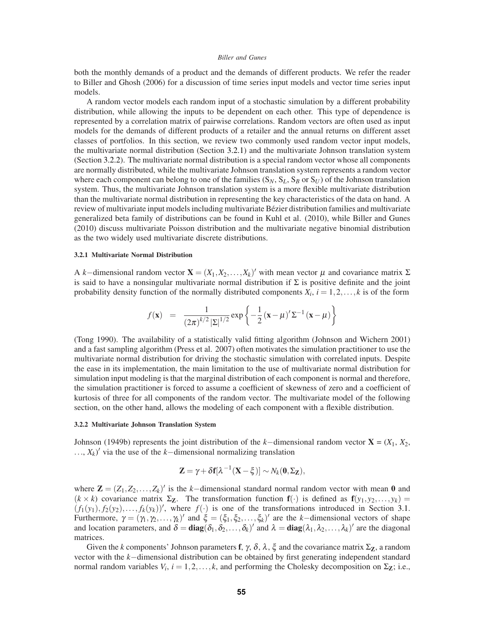both the monthly demands of a product and the demands of different products. We refer the reader to Biller and Ghosh (2006) for a discussion of time series input models and vector time series input models.

A random vector models each random input of a stochastic simulation by a different probability distribution, while allowing the inputs to be dependent on each other. This type of dependence is represented by a correlation matrix of pairwise correlations. Random vectors are often used as input models for the demands of different products of a retailer and the annual returns on different asset classes of portfolios. In this section, we review two commonly used random vector input models, the multivariate normal distribution (Section 3.2.1) and the multivariate Johnson translation system (Section 3.2.2). The multivariate normal distribution is a special random vector whose all components are normally distributed, while the multivariate Johnson translation system represents a random vector where each component can belong to one of the families  $(S_N, S_L, S_B \text{ or } S_U)$  of the Johnson translation system. Thus, the multivariate Johnson translation system is a more flexible multivariate distribution than the multivariate normal distribution in representing the key characteristics of the data on hand. A review of multivariate input models including multivariate Bezier distribution families and multivariate ´ generalized beta family of distributions can be found in Kuhl et al. (2010), while Biller and Gunes (2010) discuss multivariate Poisson distribution and the multivariate negative binomial distribution as the two widely used multivariate discrete distributions.

### **3.2.1 Multivariate Normal Distribution**

A *k*−dimensional random vector  $\mathbf{X} = (X_1, X_2, \dots, X_k)'$  with mean vector  $\mu$  and covariance matrix  $\Sigma$ is said to have a nonsingular multivariate normal distribution if  $\Sigma$  is positive definite and the joint probability density function of the normally distributed components  $X_i$ ,  $i = 1, 2, \ldots, k$  is of the form

$$
f(\mathbf{x}) = \frac{1}{(2\pi)^{k/2} |\Sigma|^{1/2}} \exp \left\{-\frac{1}{2}(\mathbf{x} - \mu)' \Sigma^{-1}(\mathbf{x} - \mu)\right\}
$$

(Tong 1990). The availability of a statistically valid fitting algorithm (Johnson and Wichern 2001) and a fast sampling algorithm (Press et al. 2007) often motivates the simulation practitioner to use the multivariate normal distribution for driving the stochastic simulation with correlated inputs. Despite the ease in its implementation, the main limitation to the use of multivariate normal distribution for simulation input modeling is that the marginal distribution of each component is normal and therefore, the simulation practitioner is forced to assume a coefficient of skewness of zero and a coefficient of kurtosis of three for all components of the random vector. The multivariate model of the following section, on the other hand, allows the modeling of each component with a flexible distribution.

## **3.2.2 Multivariate Johnson Translation System**

Johnson (1949b) represents the joint distribution of the  $k$ −dimensional random vector **X** = ( $X_1$ ,  $X_2$ , ...,  $X_k$ <sup> $\prime$ </sup> via the use of the *k*−dimensional normalizing translation

$$
\mathbf{Z} = \gamma + \delta \mathbf{f}[\lambda^{-1}(\mathbf{X} - \xi)] \sim N_k(\mathbf{0}, \Sigma_{\mathbf{Z}}),
$$

where  $\mathbf{Z} = (Z_1, Z_2, \dots, Z_k)'$  is the *k*−dimensional standard normal random vector with mean **0** and  $(k \times k)$  covariance matrix  $\Sigma$ **Z**. The transformation function **f**(·) is defined as **f**(*y*<sub>1</sub>, *y*<sub>2</sub>,..., *y*<sub>k</sub>) =  $(f_1(y_1), f_2(y_2), \ldots, f_k(y_k))'$ , where  $f(\cdot)$  is one of the transformations introduced in Section 3.1. Furthermore,  $\gamma = (\gamma_1, \gamma_2, \dots, \gamma_k)'$  and  $\zeta = (\xi_1, \xi_2, \dots, \xi_k)'$  are the *k*−dimensional vectors of shape and location parameters, and  $\delta = diag(\delta_1, \delta_2, ..., \delta_k)'$  and  $\lambda = diag(\lambda_1, \lambda_2, ..., \lambda_k)'$  are the diagonal matrices.

Given the *k* components' Johnson parameters **f**,  $\gamma$ ,  $\delta$ ,  $\lambda$ ,  $\xi$  and the covariance matrix  $\Sigma$ **z**, a random vector with the *k*−dimensional distribution can be obtained by first generating independent standard normal random variables  $V_i$ ,  $i = 1, 2, ..., k$ , and performing the Cholesky decomposition on  $\Sigma$ **z**; i.e.,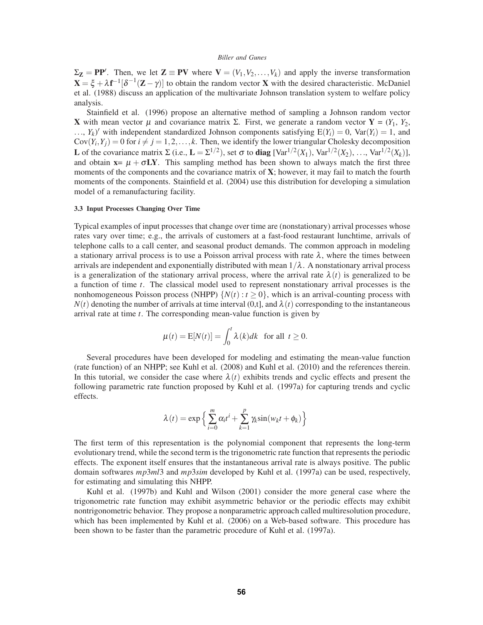$\Sigma$ **Z** = **PP**<sup>'</sup>. Then, we let **Z** = **PV** where **V** = ( $V_1, V_2, \ldots, V_k$ ) and apply the inverse transformation  $X = \xi + \lambda f^{-1}[\delta^{-1}(Z - \gamma)]$  to obtain the random vector **X** with the desired characteristic. McDaniel et al. (1988) discuss an application of the multivariate Johnson translation system to welfare policy analysis.

Stainfield et al. (1996) propose an alternative method of sampling a Johnson random vector **X** with mean vector μ and covariance matrix Σ. First, we generate a random vector **Y** = (*Y*<sub>1</sub>, *Y*<sub>2</sub>,  $..., Y_k)'$  with independent standardized Johnson components satisfying  $E(Y_i) = 0$ ,  $Var(Y_i) = 1$ , and  $Cov(Y_i, Y_j) = 0$  for  $i \neq j = 1, 2, ..., k$ . Then, we identify the lower triangular Cholesky decomposition L of the covariance matrix  $\Sigma$  (i.e.,  $\mathbf{L} = \Sigma^{1/2}$ ), set  $\sigma$  to **diag** [Var<sup>1/2</sup>(*X*<sub>1</sub>), Var<sup>1/2</sup>(*X*<sub>2</sub>), ..., Var<sup>1/2</sup>(*X*<sub>k</sub>)], and obtain  $\mathbf{x} = \mu + \sigma \mathbf{L} \mathbf{Y}$ . This sampling method has been shown to always match the first three moments of the components and the covariance matrix of **X**; however, it may fail to match the fourth moments of the components. Stainfield et al. (2004) use this distribution for developing a simulation model of a remanufacturing facility.

## **3.3 Input Processes Changing Over Time**

Typical examples of input processes that change over time are (nonstationary) arrival processes whose rates vary over time; e.g., the arrivals of customers at a fast-food restaurant lunchtime, arrivals of telephone calls to a call center, and seasonal product demands. The common approach in modeling a stationary arrival process is to use a Poisson arrival process with rate  $\lambda$ , where the times between arrivals are independent and exponentially distributed with mean  $1/\lambda$ . A nonstationary arrival process is a generalization of the stationary arrival process, where the arrival rate  $\lambda(t)$  is generalized to be a function of time *t*. The classical model used to represent nonstationary arrival processes is the nonhomogeneous Poisson process (NHPP)  $\{N(t): t \geq 0\}$ , which is an arrival-counting process with  $N(t)$  denoting the number of arrivals at time interval (0,t], and  $\lambda(t)$  corresponding to the instantaneous arrival rate at time *t*. The corresponding mean-value function is given by

$$
\mu(t) = \mathbb{E}[N(t)] = \int_0^t \lambda(k)dk \text{ for all } t \ge 0.
$$

Several procedures have been developed for modeling and estimating the mean-value function (rate function) of an NHPP; see Kuhl et al. (2008) and Kuhl et al. (2010) and the references therein. In this tutorial, we consider the case where  $\lambda(t)$  exhibits trends and cyclic effects and present the following parametric rate function proposed by Kuhl et al. (1997a) for capturing trends and cyclic effects.

$$
\lambda(t) = \exp\left\{\sum_{i=0}^{m} \alpha_i t^i + \sum_{k=1}^{p} \gamma_k \sin(w_k t + \phi_k)\right\}
$$

The first term of this representation is the polynomial component that represents the long-term evolutionary trend, while the second term is the trigonometric rate function that represents the periodic effects. The exponent itself ensures that the instantaneous arrival rate is always positive. The public domain softwares *mp*3*ml*3 and *mp*3*sim* developed by Kuhl et al. (1997a) can be used, respectively, for estimating and simulating this NHPP.

Kuhl et al. (1997b) and Kuhl and Wilson (2001) consider the more general case where the trigonometric rate function may exhibit asymmetric behavior or the periodic effects may exhibit nontrigonometric behavior. They propose a nonparametric approach called multiresolution procedure, which has been implemented by Kuhl et al. (2006) on a Web-based software. This procedure has been shown to be faster than the parametric procedure of Kuhl et al. (1997a).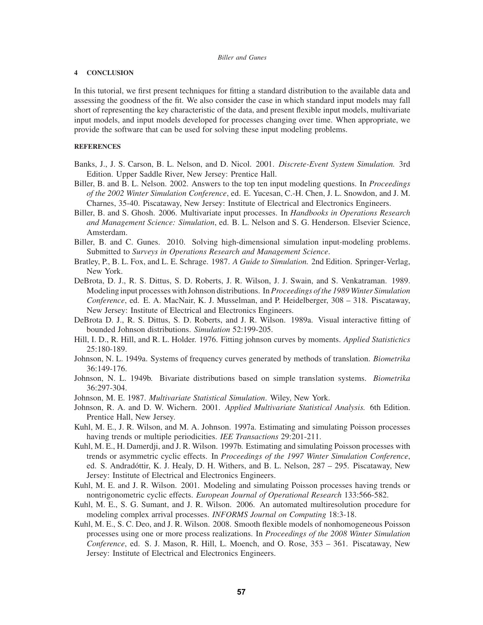### **4 CONCLUSION**

In this tutorial, we first present techniques for fitting a standard distribution to the available data and assessing the goodness of the fit. We also consider the case in which standard input models may fall short of representing the key characteristic of the data, and present flexible input models, multivariate input models, and input models developed for processes changing over time. When appropriate, we provide the software that can be used for solving these input modeling problems.

# **REFERENCES**

- Banks, J., J. S. Carson, B. L. Nelson, and D. Nicol. 2001. *Discrete-Event System Simulation.* 3rd Edition. Upper Saddle River, New Jersey: Prentice Hall.
- Biller, B. and B. L. Nelson. 2002. Answers to the top ten input modeling questions. In *Proceedings of the 2002 Winter Simulation Conference*, ed. E. Yucesan, C.-H. Chen, J. L. Snowdon, and J. M. Charnes, 35-40. Piscataway, New Jersey: Institute of Electrical and Electronics Engineers.
- Biller, B. and S. Ghosh. 2006. Multivariate input processes. In *Handbooks in Operations Research and Management Science: Simulation*, ed. B. L. Nelson and S. G. Henderson. Elsevier Science, Amsterdam.
- Biller, B. and C. Gunes. 2010. Solving high-dimensional simulation input-modeling problems. Submitted to *Surveys in Operations Research and Management Science*.
- Bratley, P., B. L. Fox, and L. E. Schrage. 1987. *A Guide to Simulation.* 2nd Edition. Springer-Verlag, New York.
- DeBrota, D. J., R. S. Dittus, S. D. Roberts, J. R. Wilson, J. J. Swain, and S. Venkatraman. 1989. Modeling input processes with Johnson distributions. In*Proceedings of the 1989 Winter Simulation Conference*, ed. E. A. MacNair, K. J. Musselman, and P. Heidelberger, 308 – 318. Piscataway, New Jersey: Institute of Electrical and Electronics Engineers.
- DeBrota D. J., R. S. Dittus, S. D. Roberts, and J. R. Wilson. 1989a. Visual interactive fitting of bounded Johnson distributions. *Simulation* 52:199-205.
- Hill, I. D., R. Hill, and R. L. Holder. 1976. Fitting johnson curves by moments. *Applied Statistictics* 25:180-189.
- Johnson, N. L. 1949a. Systems of frequency curves generated by methods of translation. *Biometrika* 36:149-176.
- Johnson, N. L. 1949b. Bivariate distributions based on simple translation systems. *Biometrika* 36:297-304.
- Johnson, M. E. 1987. *Multivariate Statistical Simulation*. Wiley, New York.
- Johnson, R. A. and D. W. Wichern. 2001. *Applied Multivariate Statistical Analysis.* 6th Edition. Prentice Hall, New Jersey.
- Kuhl, M. E., J. R. Wilson, and M. A. Johnson. 1997a. Estimating and simulating Poisson processes having trends or multiple periodicities. *IEE Transactions* 29:201-211.
- Kuhl, M. E., H. Damerdji, and J. R. Wilson. 1997b. Estimating and simulating Poisson processes with trends or asymmetric cyclic effects. In *Proceedings of the 1997 Winter Simulation Conference*, ed. S. Andradóttir, K. J. Healy, D. H. Withers, and B. L. Nelson, 287 – 295. Piscataway, New Jersey: Institute of Electrical and Electronics Engineers.
- Kuhl, M. E. and J. R. Wilson. 2001. Modeling and simulating Poisson processes having trends or nontrigonometric cyclic effects. *European Journal of Operational Research* 133:566-582.
- Kuhl, M. E., S. G. Sumant, and J. R. Wilson. 2006. An automated multiresolution procedure for modeling complex arrival processes. *INFORMS Journal on Computing* 18:3-18.
- Kuhl, M. E., S. C. Deo, and J. R. Wilson. 2008. Smooth flexible models of nonhomogeneous Poisson processes using one or more process realizations. In *Proceedings of the 2008 Winter Simulation Conference*, ed. S. J. Mason, R. Hill, L. Moench, and O. Rose, 353 – 361. Piscataway, New Jersey: Institute of Electrical and Electronics Engineers.